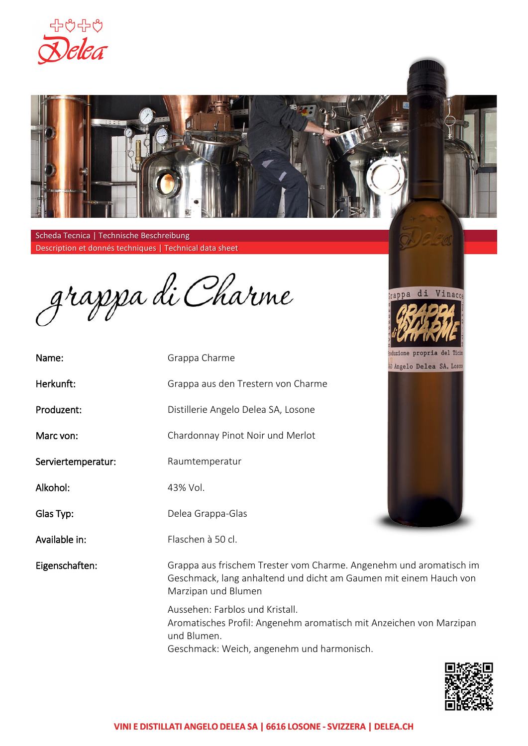



Scheda Tecnica | Technische Beschreibung Description et donnés techniques | Technical data sheet

grappa di Charme

| Name:              | Grappa Charme                       |
|--------------------|-------------------------------------|
| Herkunft:          | Grappa aus den Trestern von Charme  |
| Produzent:         | Distillerie Angelo Delea SA, Losone |
| Marc von:          | Chardonnay Pinot Noir und Merlot    |
| Serviertemperatur: | Raumtemperatur                      |
| Alkohol:           | 43% Vol.                            |
| Glas Typ:          | Delea Grappa-Glas                   |
| Available in:      | Flaschen à 50 cl. und 150cl.        |
|                    |                                     |





Eigenschaften: Grappa aus frischem Trester vom Charme. Angenehm und aromatisch im Geschmack, lang anhaltend und dicht am Gaumen mit einem Hauch von Marzipan und Blumen

> Aussehen: Farblos und Kristall. Aromatisches Profil: Angenehm aromatisch mit Anzeichen von Marzipan und Blumen. Geschmack: Weich, angenehm und harmonisch.

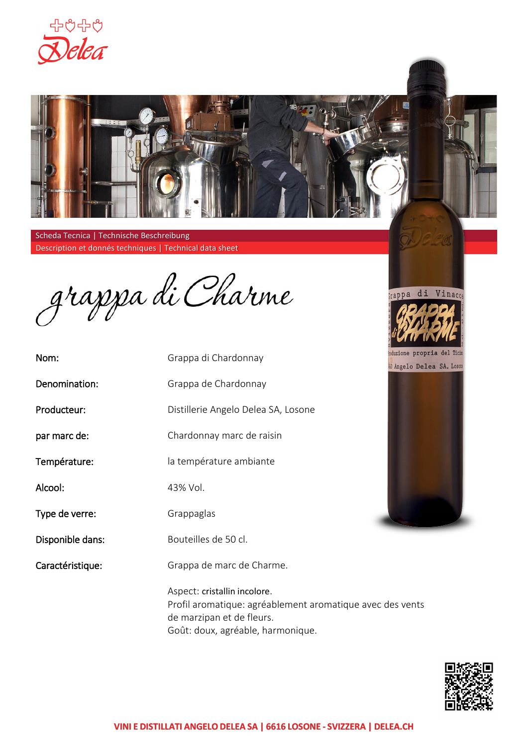



Scheda Tecnica | Technische Beschreibung Description et donnés techniques | Technical data sheet

grappa di Charme

Nom: Denomination: Producteur: par marc de: Température: Alcool: Type de verre: Disponible dans: Grappa di Chardonnay Grappa de Chardonnay Distillerie Angelo Delea SA, Losone Chardonnay marc de raisin la température ambiante 43% Vol. Grappaglas Bouteilles de 50 cl. et 150cl.

Caractéristique: Grappa de marc de Charme.

> Aspect: cristallin incolore. Profil aromatique: agréablement aromatique avec des vents de marzipan et de fleurs. Goût: doux, agréable, harmonique.



**W** Angelo Delea SA, Loson